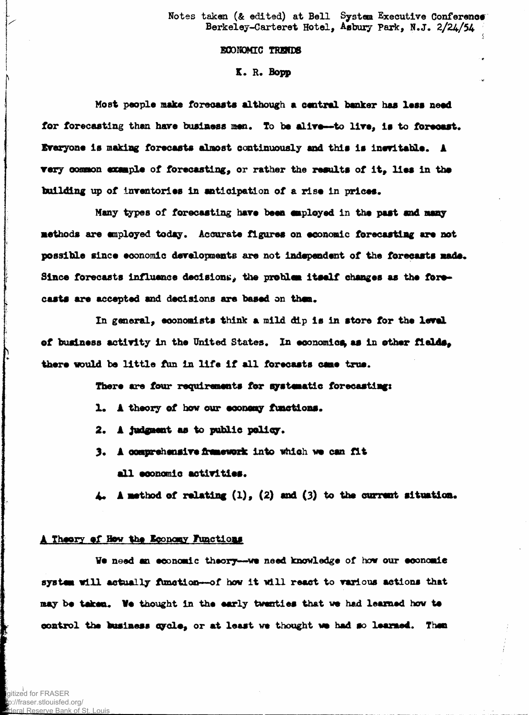Notes taken (& edited) at Bell System Executive Conference Berkeley-Carteret Hotel, Asbury Park, N.J. 2/24/54

## **BCONOMIC TRENDS**

## K. R. Bopp

Most people make forecasts although a central banker has less need for forecasting than have business men. To be alive--to live, is to forecast. Everyone is making forecasts almost continuously and this is inevitable. A very common example of forecasting, or rather the results of it, lies in the building up of inventories in anticipation of a rise in prices.

Many types of forecasting have been employed in the past and many methods are employed today. Accurate figures on economic forecasting are not possible since economic developments are not independent of the forecasts made. Since forecasts influence decisions, the problem itself changes as the forecasts are accepted and decisions are based on them.

In general, economists think a mild dip is in store for the level of business activity in the United States. In economics as in other fields. there would be little fun in life if all forecasts came trus.

There are four requirements for systematic forecasting:

- 1. A theory of how our economy functions.
- 2. A judgment as to public policy.
- 3. A comprehensive framework into which we can fit all economic activities.

A method of relating  $(1)$ ,  $(2)$  and  $(3)$  to the current situation.

## A Theory of How the Economy Functions

We need an economic theory--we need knowledge of how our economic system will actually function-of how it will react to various actions that may be taken. We thought in the early twenties that we had learned how to control the business cycle, or at least we thought we had so learned. Then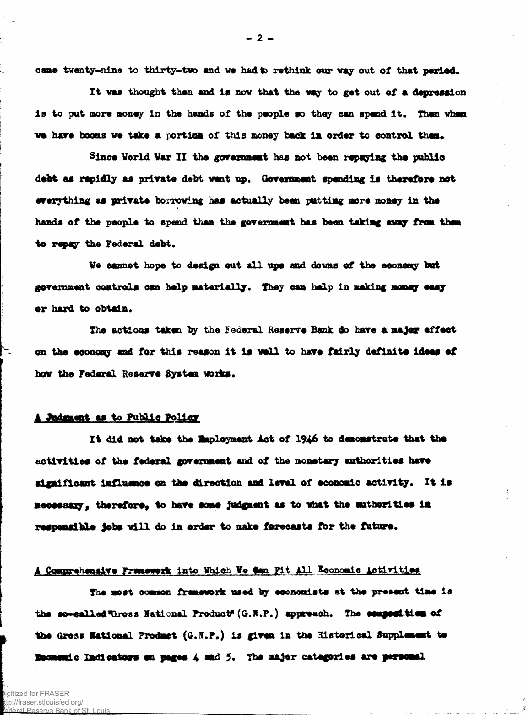came twenty-nine to thirty-two and we had to rethink our way out of that period.

It was thought then and is now that the way to get out of a depression is to put more money in the hands of the people so they can spend it. Then when we have booms we take a portion of this money back in order to control them.

Since World War II the government has not been repaying the public debt as rapidly as private debt went up. Government spending is therefore not everything as private borrowing has actually been putting more money in the hands of the people to spend than the government has been taking away from them to repay the Federal debt.

We cannot hope to design out all ups and downs of the economy but gevernment controls can help materially. They can help in making money easy or hard to obtain.

The actions taken by the Federal Reserve Bank do have a major effect on the economy and for this reason it is well to have fairly definite ideas of how the Federal Reserve System works.

### A Judgment as to Public Policy

It did not take the Employment Act of 1946 to demonstrate that the activities of the federal government and of the monetary authorities have significant influence on the direction and level of economic activity. It is necessary, therefore, to have some judgment as to what the suthorities in responsible jobs will do in order to make forecasts for the future.

## A Comprehensive Framework into Which We dan Pit All Economic Activities

The most common framework used by economists at the present time is the se-called Thross Hational Product (G.N.P.) appreach. The composition of the Gress National Product (G.N.P.) is given in the Historical Supplement to Enconomic Indicators on pages 4 and 5. The major categories are personal

 $-2-$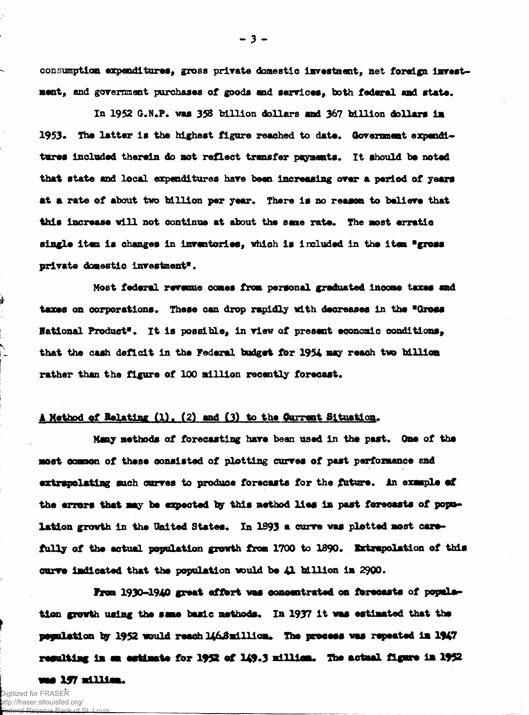consumption expenditures, gross private domestic investment, net foreign investment, and government purchases of goods and services, both federal and state.

In 1952 G.N.P. was 358 billion dollars and 367 billion dollars in 1953. The latter is the highest figure reached to date. Government expenditures included therein do not reflect transfer payments. It should be noted that state and local expenditures **hare** bean increasing orer a period of years at a rate of about two billion per year. There is no reason to believe that this increase will not continue at about the same rate. The most erratic single item is changes in inventories, which is included in the item "gross private domestic investment\*.

Most federal revenue comes from personal graduated Income taxes sad taxes on corporations. These can drop rapidly with decreases in the "Gross National Product". It is possible, in view of present economic conditions, that the cash deficit in the Federal budget for 1954 may reach two billion rather than the figure of 100 million recently forecast.

# A Method of Relating (1). (2) and (3) to the Current Situation.

Many methods of forecasting have been used in the past. One of the most common of these consisted of plotting curves of past performance and extrapolating such curves to produce forecasts for the future. An example of the errors that may be expected by this method lies in past forecasts of population growth in the United States. In 1893 a curve was plotted most carefully of the actual population growth from 1700 to 1890. Extrapolation of this curve indicated that the population would be 41 billion in 2900.

From 1930-1940 great effort was concentrated on forecasts of population growth using the same basic methods. In 1937 it was estimated that the population by 1952 would reach 146. Smillion. The process was repeated in 1947 regulting in an estimate for 1952 of  $149.3$  millian. The actual figure in 1952 was 197 million.

**- 3 -**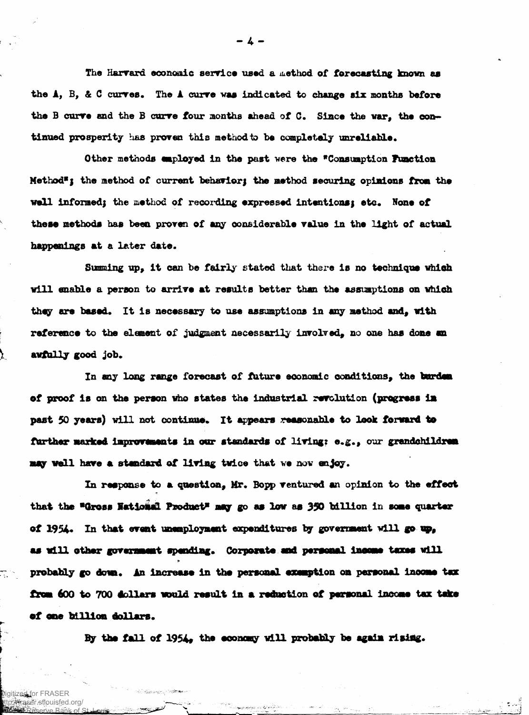The Harvard economic service used a method of forecasting known as the A, B, & C curves. The A curve was indicated to change six months before the B curve and the B curve four months ahead of C. Since the war, the continued prosperity has proven this method to be completely unreliable.

Other methods employed in the past were the "Consumption Function Method"; the method of current behavior; the method securing opinions from the well informed; the method of recording expressed intentions; etc. None of these methods has been proven of any considerable value in the light of actual happenings at a later date.

Summing up, it can be fairly stated that there is no technique which will enable a person to arrive at results better than the assumptions on which they are based. It is necessary to use assumptions in any method and, with reference to the element of judgment necessarily involved, no one has done an awfully good job.

In any long range forecast of future economic conditions, the burden of proof is on the person who states the industrial revolution (progress in past 50 years) will not continue. It appears reasonable to look forward to further marked improvements in our standards of living: e.g., our grandchildren may well have a standard of living twice that we now enjoy.

In response to a question, Mr. Bopp ventured an opinion to the effect that the "Gross National Product" may go as low as 350 billion in some quarter of 1954. In that event unemployment expenditures by government will go up, as will other government spending. Corporate and personal income taxes will probably go down. An increase in the personal examption on personal income tax from 600 to 700 dollars would result in a reduction of personal income tax take of one billion dollars.

By the fall of 1954, the economy will probably be again rising.

Digitized for FRASE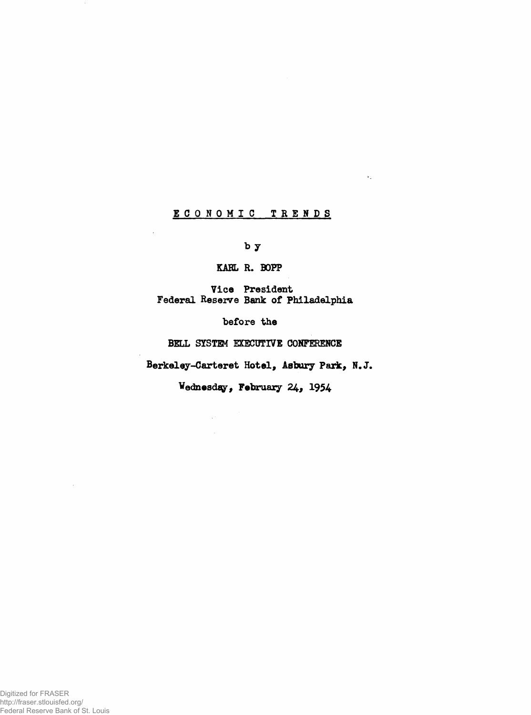# **ECONOMIC TRENDS**

 $\mathbf{v}_1$ 

**b y**

**KAHL R. BOFP**

**Vice President Federal Reserve Bank of Philadelphia**

**before the**

**BELL SYSTEM EXECUTIVE CONFERENCE**

**Berkeley-Carteret Hotel, Asbury Park, N.J.**

Wednesday, February 24, 1954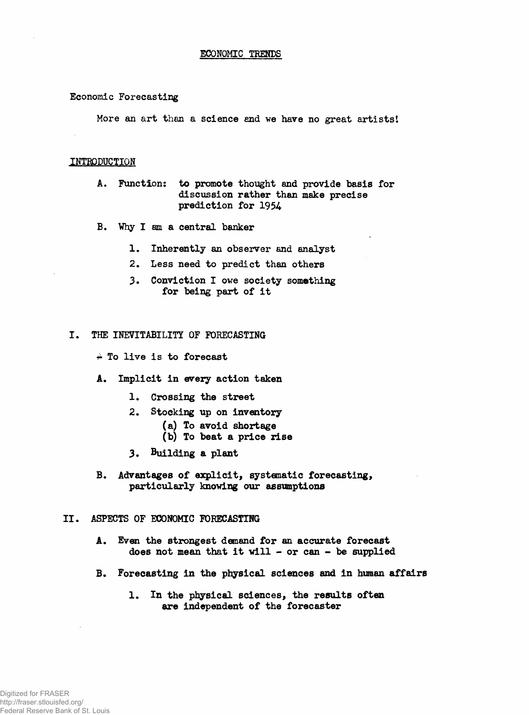#### **Economic Forecasting**

**More an art then a science and we have no great artists I**

## **INTRODUCTION**

- **A. Function: to promote thought and provide basis for discussion rather than make precise prediction for 1954**
- **B. Why I am a central banker**
	- **1. Inherently an observer and analyst**
	- **2. Less need to predict than others**
	- **3. Conviction I owe society something for being part of it**
- **I. THE INEVITABILITY OF FORECASTING**
	- **£ To live is to forecast**
	- **A. Implicit in every action taken**
		- **1. Crossing the street**
		- **2. Stocking up on inventory**
			- **(a) To avoid shortage**
			- **(b) To beat a price rise**
		- **3\* building a plant**
	- **B. Advantages of explicit, systematic forecasting, particularly knowing our assumptions**

## **II. ASPECTS OF ECONOMIC FORECASTING**

- **A. Even the strongest demand for an accurate forecast does not mean that it vill - or can - be supplied**
- **B. Forecasting in the physical sciences and in human affairs**
	- **1. In the physical sciences, the results often are independent of the forecaster**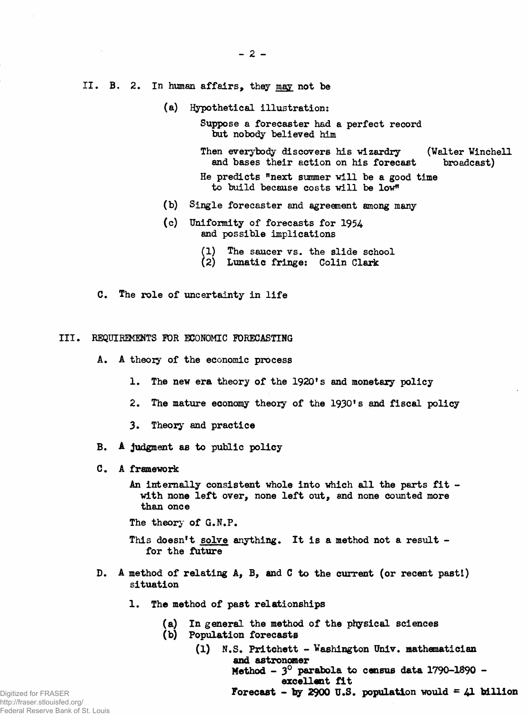- **II. B. 2. In human affairs, they may not be**
	- **(a) Hypothetical illustration:**

**Suppose a forecaster had a perfect record but nobody believed him**

Then everybody discovers his wizardry (Walter Winchell and bases their action on his forecast broadcast) and bases their action on his forecast

**He predicts "next summer will be a good time to build because costs will be low"**

- **(b) Single forecaster and agreement among many**
- **(c) Uniformity of forecasts for 1954 and possible implications**
	- **(1) The saucer vs. the slide school**
	- **(2) Lunatic fringe: Colin Clark**
- **C. The role of uncertainty in life**

#### **III. REQUIREMENTS FOR ECONOMIC FORECASTING**

- **A. A theory of the economic process**
	- **1. The new era theory of the 1920\* s and monetary policy**
	- **2. The mature economy theory of the 1930\* s and fiscal policy**
	- **3. Theory and practice**
- **B. A judgment as to public policy**
- **C . A framework**
	- **An internally consistent whole into which all the parts fit with none left over, none left out, and none counted more than once**

**The theory of G.N.P.**

- **This doesn't solve anything. It is a method not a result for the future**
- **D. A method of relating A, B, and C to the current (or recent pastl) situation**
	- **1. The method of past relationships**
		- **(a) In general the method of the physical sciences**
		- **(b) Population forecasts**
			- **(1) N.S. Pritchett Washington Univ. mathematician and astronomer Method - 3° parabola to census data 1790-1890 excellent fit Forecast - by 2900 U.S. population would**  $= 41$  **billion**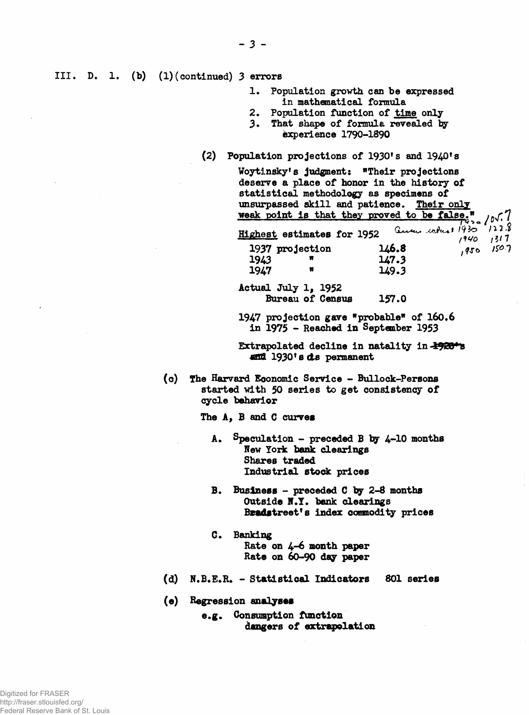**III. D. 1 (b) (1)(continued) 3 errors**

- **1. Population growth can be expressed in mathematical formula**
- **2. Population function of time only**
- 3. That shape of formula revealed by **experience 1790-1890**
- **(2) Population projections of 1930\* s and 1940\* s**

|      | Woytinsky's judgment: "Their projections     |       |                                       |
|------|----------------------------------------------|-------|---------------------------------------|
|      | deserve a place of honor in the history of   |       |                                       |
|      | statistical methodology as specimens of      |       |                                       |
|      | unsurpassed skill and patience. Their only   |       |                                       |
|      | weak point is that they proved to be false." |       | ed to be false."<br>Current 1930 1228 |
|      |                                              |       |                                       |
|      | <b>Highest estimates for 1952</b>            |       | $1940$ $1317$                         |
|      | 1937 projection                              | 146.8 | $1950$ $150.7$                        |
| 1943 | Ħ                                            | 147.3 |                                       |
| 1947 | Ħ                                            | 149.3 |                                       |
|      | Actual July 1, 1952                          |       |                                       |
|      | Bureau of Census                             | 157.0 |                                       |
|      |                                              |       |                                       |

**1947 projection gave "probable" of 160.6 in 1975 - Reached in September 1953**

**Extrapolated decline in natality in -19201<sup>a</sup> 1930fsets permanent**

**(0) The Harvard Economic Service - Bullock-Persons started with 50 series to get consistency of cycle behavior**

**The A, B and C curves**

- **A. Speculation preceded B by 4-10 months New York bank clearings Shares traded Industrial stock prices**
- **B. Business preceded C by 2-8 months Outside H.Y. bank clearings Bsadstreet's index commodity prices**
- **G. Banking Rate on 4-6 month paper Rate on 60-90 day paper**
- **(d) N.B.E.R. Statistical Indicators 801 series**
- (e) **Regression** analyses
	- **e.g. Consumption function dangers of extrapolation**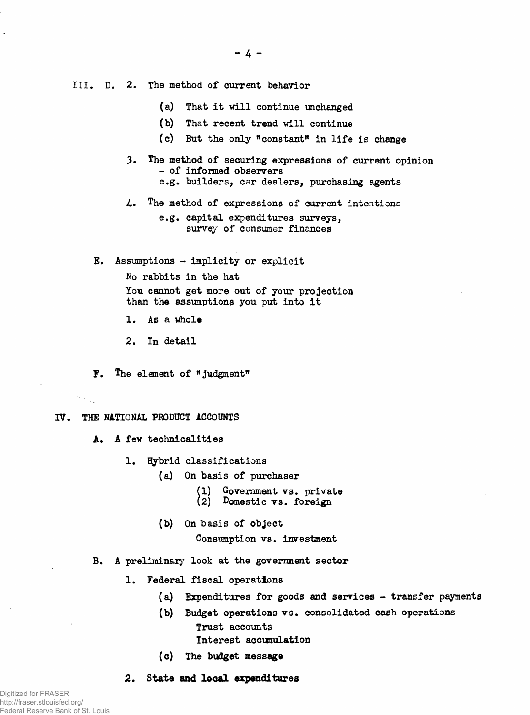- **III. D. 2. The method of current behavior**
	- **(a) That it will continue unchanged**
	- **(b) That recent trend will continue**
	- **(c) But the only "constant" in life is change**
	- **The method of securing expressions of current opinion - of informed observers 3.**
		- **e.g. builders, car dealers, purchasing agents**
	- 4. **The method of expressions of current intentions**

**e.g. capital expenditures surveys, survey of consumer finances**

**E. Assumptions - implicity or explicit**

**No rabbits in the hat You cannot get more out of your projection than the assumptions you put into it**

**1. As a** *whole*

**2. In detail**

**F. The element of "judgment"**

#### **IV. THE NATIONAL PRODUCT ACCOUNTS**

- **A. A few technicalities**
	- **1. Hybrid classifications**
		- **(a) On basis of purchaser**
			- **(1) Government vs. private**
			- **(2) Domestic vs. foreign**
			- **(b) On basis of object**

**Consumption vs. investment**

- **B. A preliminary look at the government sector**
	- **1. Federal fiscal operations**
		- **(a) Expenditures for goods and services transfer payments**
		- **(b) Budget operations vs. consolidated cash operations Trust accounts** Interest accumulation
		- **(c) The budget** message
	- **2. State and local expenditures**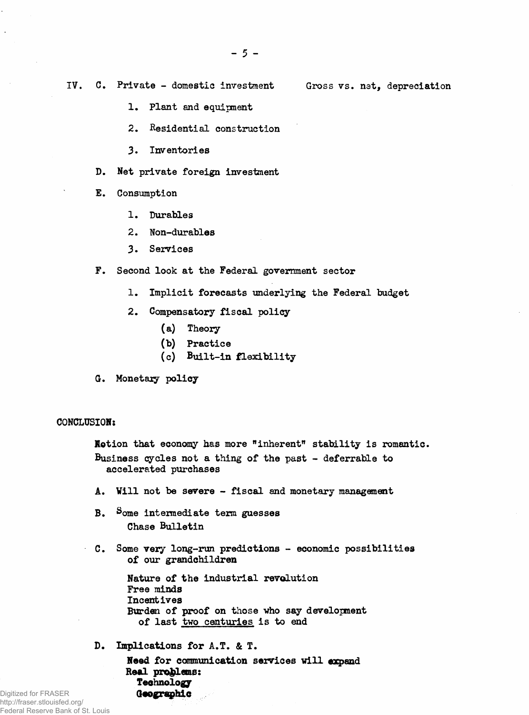**IV. C. Private - domestic investment Gross vs. net, depreciation**

- 
- **1. Plant and equipment**
- **2. Residential construction**
- **3. Inventories**
- **D. Net private foreign investment**
- **E. Consumption**
	- **1. Durables**
	- **2. Non-durables**
	- **3. Services**
- **F. Second look at the Federal government sector**
	- **1. Implicit forecasts underlying the Federal budget**
	- 2. Compensatory fiscal policy
		- **(a) Theory**
		- **(b) Practice**
		- (c) Built-in flexibility
- **G. Monetary** policy

### **CONCLUSION:**

**Notion that economy has more "inherent" stability is romantic. Business cycles not a thing of the past - deferrable to accelerated purchases**

- A. Will not be severe fiscal and monetary management
- **B. Some intermediate term guesses Chase Bulletin**
- **C. Some very long-run predictions economic possibilities of our grandchildren**

**Nature of the industrial revolution Free minds Incentives Burden of proof on those who say development of last two centuries is to end**

**D. Implications for A.T. & T.**

**Need for communication services will expand Real problems: Technology** Geographic